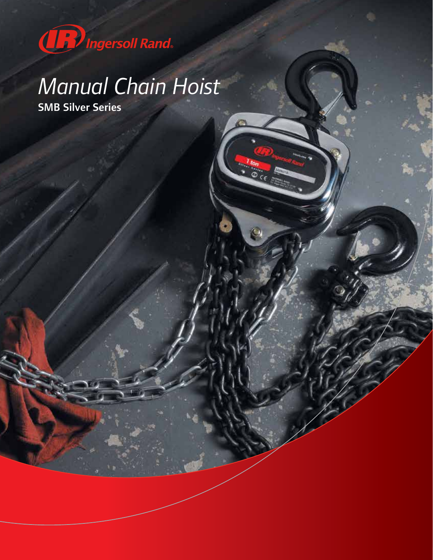

## *Manual Chain Hoist*

SMB Silver Series